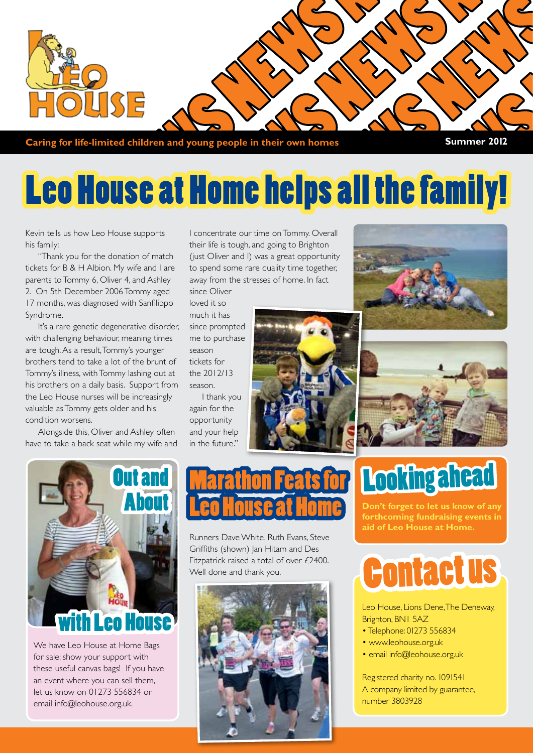

**Caring for life-limited children and young people in their own homes Summer 2012** 

### Leo House at Home helps all the family!

Kevin tells us how Leo House supports his family:

"Thank you for the donation of match tickets for B & H Albion. My wife and I are parents to Tommy 6, Oliver 4, and Ashley 2. On 5th December 2006 Tommy aged 17 months, was diagnosed with Sanfilippo Syndrome.

It's a rare genetic degenerative disorder, with challenging behaviour, meaning times are tough. As a result, Tommy's younger brothers tend to take a lot of the brunt of Tommy's illness, with Tommy lashing out at his brothers on a daily basis. Support from the Leo House nurses will be increasingly valuable as Tommy gets older and his condition worsens.

Alongside this, Oliver and Ashley often have to take a back seat while my wife and

I concentrate our time on Tommy. Overall their life is tough, and going to Brighton (just Oliver and I) was a great opportunity to spend some rare quality time together, away from the stresses of home. In fact since Oliver

loved it so much it has since prompted me to purchase season tickets for the 2012/13 season.

I thank you again for the opportunity and your help in the future."









We have Leo House at Home Bags for sale; show your support with these useful canvas bags! If you have an event where you can sell them, let us know on 01273 556834 or email info@leohouse.org.uk.

#### Marathon Feats for Leo House at Home

Runners Dave White, Ruth Evans, Steve Griffiths (shown) Jan Hitam and Des Fitzpatrick raised a total of over £2400. Well done and thank you.



#### Looking ahead

**Don't forget to let us know of any forthcoming fundraising events in aid of Leo House at Home.**

## Contact us

Leo House, Lions Dene, The Deneway, Brighton, BN1 5AZ

- Telephone: 01273 556834
- www.leohouse.org.uk
- email info@leohouse.org.uk

Registered charity no. 1091541 A company limited by guarantee, number 3803928